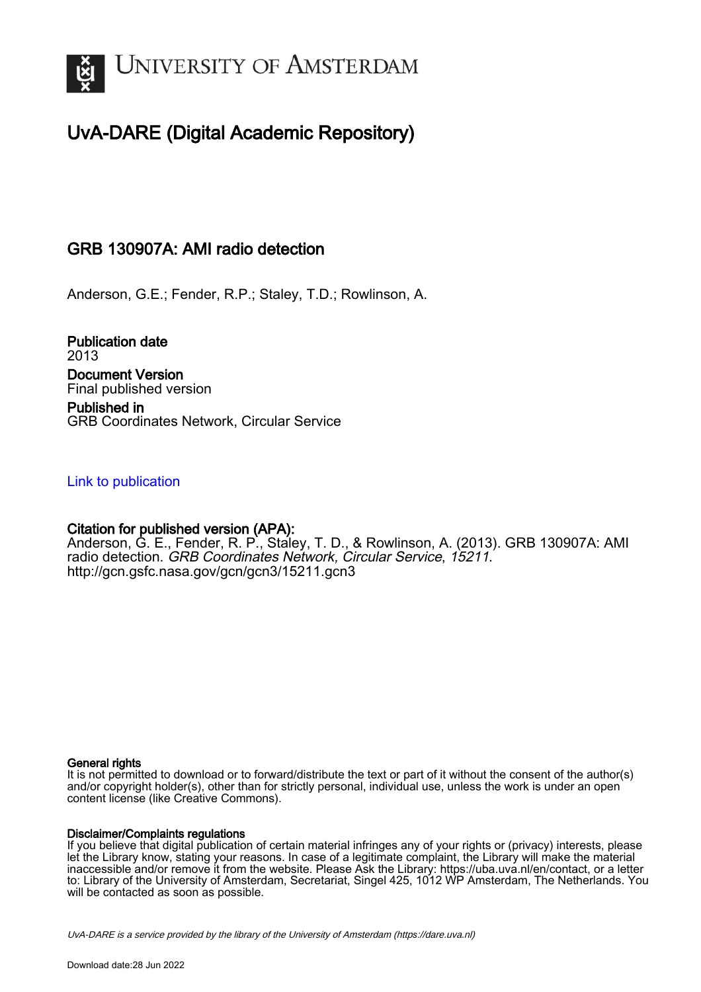

# UvA-DARE (Digital Academic Repository)

## GRB 130907A: AMI radio detection

Anderson, G.E.; Fender, R.P.; Staley, T.D.; Rowlinson, A.

Publication date 2013 Document Version Final published version Published in

GRB Coordinates Network, Circular Service

### [Link to publication](https://dare.uva.nl/personal/pure/en/publications/grb-130907a-ami-radio-detection(d03a65c1-b4bf-44e0-a302-727cb954a9c0).html)

### Citation for published version (APA):

Anderson, G. E., Fender, R. P., Staley, T. D., & Rowlinson, A. (2013). GRB 130907A: AMI radio detection. GRB Coordinates Network, Circular Service, 15211. <http://gcn.gsfc.nasa.gov/gcn/gcn3/15211.gcn3>

#### General rights

It is not permitted to download or to forward/distribute the text or part of it without the consent of the author(s) and/or copyright holder(s), other than for strictly personal, individual use, unless the work is under an open content license (like Creative Commons).

#### Disclaimer/Complaints regulations

If you believe that digital publication of certain material infringes any of your rights or (privacy) interests, please let the Library know, stating your reasons. In case of a legitimate complaint, the Library will make the material inaccessible and/or remove it from the website. Please Ask the Library: https://uba.uva.nl/en/contact, or a letter to: Library of the University of Amsterdam, Secretariat, Singel 425, 1012 WP Amsterdam, The Netherlands. You will be contacted as soon as possible.

UvA-DARE is a service provided by the library of the University of Amsterdam (http*s*://dare.uva.nl)